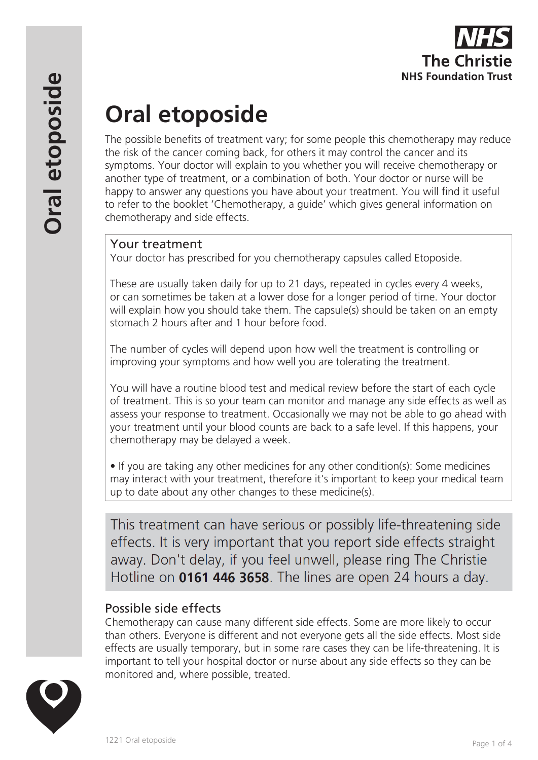

# **Oral etoposide**

The possible benefits of treatment vary; for some people this chemotherapy may reduce the risk of the cancer coming back, for others it may control the cancer and its symptoms. Your doctor will explain to you whether you will receive chemotherapy or another type of treatment, or a combination of both. Your doctor or nurse will be happy to answer any questions you have about your treatment. You will find it useful to refer to the booklet 'Chemotherapy, a guide' which gives general information on chemotherapy and side effects.

## Your treatment

Your doctor has prescribed for you chemotherapy capsules called Etoposide.

These are usually taken daily for up to 21 days, repeated in cycles every 4 weeks, or can sometimes be taken at a lower dose for a longer period of time. Your doctor will explain how you should take them. The capsule(s) should be taken on an empty stomach 2 hours after and 1 hour before food.

The number of cycles will depend upon how well the treatment is controlling or improving your symptoms and how well you are tolerating the treatment.

You will have a routine blood test and medical review before the start of each cycle of treatment. This is so your team can monitor and manage any side effects as well as assess your response to treatment. Occasionally we may not be able to go ahead with your treatment until your blood counts are back to a safe level. If this happens, your chemotherapy may be delayed a week.

• If you are taking any other medicines for any other condition(s): Some medicines may interact with your treatment, therefore it's important to keep your medical team up to date about any other changes to these medicine(s).

This treatment can have serious or possibly life-threatening side effects. It is very important that you report side effects straight away. Don't delay, if you feel unwell, please ring The Christie Hotline on 0161 446 3658. The lines are open 24 hours a day.

## Possible side effects

Chemotherapy can cause many different side effects. Some are more likely to occur than others. Everyone is different and not everyone gets all the side effects. Most side effects are usually temporary, but in some rare cases they can be life-threatening. It is important to tell your hospital doctor or nurse about any side effects so they can be monitored and, where possible, treated.

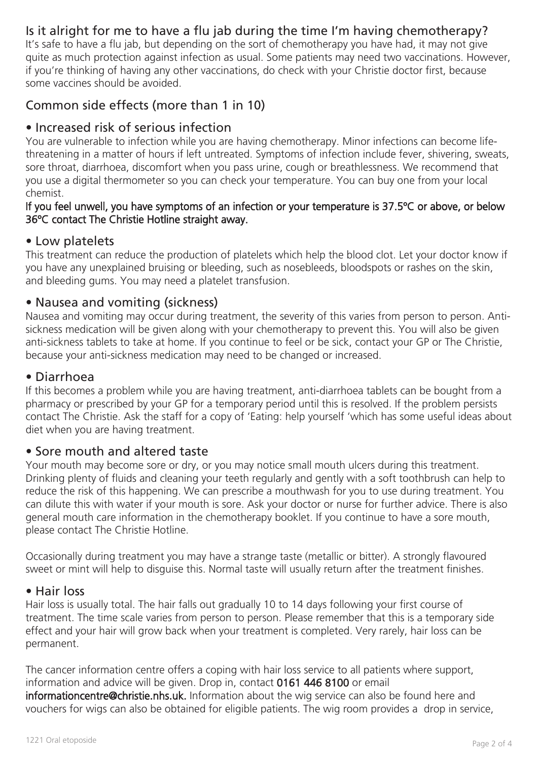# Is it alright for me to have a flu jab during the time I'm having chemotherapy?

It's safe to have a flu jab, but depending on the sort of chemotherapy you have had, it may not give quite as much protection against infection as usual. Some patients may need two vaccinations. However, if you're thinking of having any other vaccinations, do check with your Christie doctor first, because some vaccines should be avoided.

# Common side effects (more than 1 in 10)

#### • Increased risk of serious infection

You are vulnerable to infection while you are having chemotherapy. Minor infections can become lifethreatening in a matter of hours if left untreated. Symptoms of infection include fever, shivering, sweats, sore throat, diarrhoea, discomfort when you pass urine, cough or breathlessness. We recommend that you use a digital thermometer so you can check your temperature. You can buy one from your local chemist.

#### If you feel unwell, you have symptoms of an infection or your temperature is 37.5ºC or above, or below 36ºC contact The Christie Hotline straight away.

#### • Low platelets

This treatment can reduce the production of platelets which help the blood clot. Let your doctor know if you have any unexplained bruising or bleeding, such as nosebleeds, bloodspots or rashes on the skin, and bleeding gums. You may need a platelet transfusion.

#### • Nausea and vomiting (sickness)

Nausea and vomiting may occur during treatment, the severity of this varies from person to person. Antisickness medication will be given along with your chemotherapy to prevent this. You will also be given anti-sickness tablets to take at home. If you continue to feel or be sick, contact your GP or The Christie, because your anti-sickness medication may need to be changed or increased.

#### • Diarrhoea

If this becomes a problem while you are having treatment, anti-diarrhoea tablets can be bought from a pharmacy or prescribed by your GP for a temporary period until this is resolved. If the problem persists contact The Christie. Ask the staff for a copy of 'Eating: help yourself 'which has some useful ideas about diet when you are having treatment.

#### • Sore mouth and altered taste

Your mouth may become sore or dry, or you may notice small mouth ulcers during this treatment. Drinking plenty of fluids and cleaning your teeth regularly and gently with a soft toothbrush can help to reduce the risk of this happening. We can prescribe a mouthwash for you to use during treatment. You can dilute this with water if your mouth is sore. Ask your doctor or nurse for further advice. There is also general mouth care information in the chemotherapy booklet. If you continue to have a sore mouth, please contact The Christie Hotline.

Occasionally during treatment you may have a strange taste (metallic or bitter). A strongly flavoured sweet or mint will help to disguise this. Normal taste will usually return after the treatment finishes.

#### • Hair loss

Hair loss is usually total. The hair falls out gradually 10 to 14 days following your first course of treatment. The time scale varies from person to person. Please remember that this is a temporary side effect and your hair will grow back when your treatment is completed. Very rarely, hair loss can be permanent.

The cancer information centre offers a coping with hair loss service to all patients where support, information and advice will be given. Drop in, contact 0161 446 8100 or email informationcentre@christie.nhs.uk. Information about the wig service can also be found here and vouchers for wigs can also be obtained for eligible patients. The wig room provides a drop in service,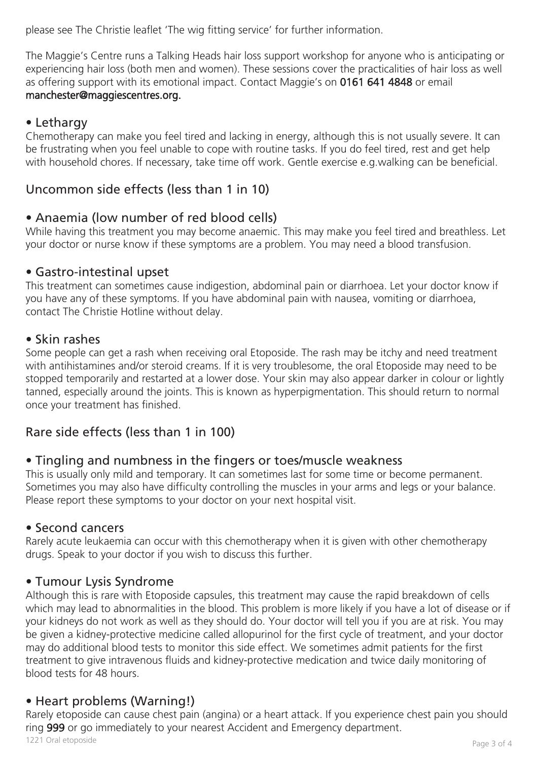please see The Christie leaflet 'The wig fitting service' for further information.

The Maggie's Centre runs a Talking Heads hair loss support workshop for anyone who is anticipating or experiencing hair loss (both men and women). These sessions cover the practicalities of hair loss as well as offering support with its emotional impact. Contact Maggie's on 0161 641 4848 or email manchester@maggiescentres.org.

# • Lethargy

Chemotherapy can make you feel tired and lacking in energy, although this is not usually severe. It can be frustrating when you feel unable to cope with routine tasks. If you do feel tired, rest and get help with household chores. If necessary, take time off work. Gentle exercise e.g.walking can be beneficial.

# Uncommon side effects (less than 1 in 10)

# • Anaemia (low number of red blood cells)

While having this treatment you may become anaemic. This may make you feel tired and breathless. Let your doctor or nurse know if these symptoms are a problem. You may need a blood transfusion.

#### • Gastro-intestinal upset

This treatment can sometimes cause indigestion, abdominal pain or diarrhoea. Let your doctor know if you have any of these symptoms. If you have abdominal pain with nausea, vomiting or diarrhoea, contact The Christie Hotline without delay.

#### • Skin rashes

Some people can get a rash when receiving oral Etoposide. The rash may be itchy and need treatment with antihistamines and/or steroid creams. If it is very troublesome, the oral Etoposide may need to be stopped temporarily and restarted at a lower dose. Your skin may also appear darker in colour or lightly tanned, especially around the joints. This is known as hyperpigmentation. This should return to normal once your treatment has finished.

# Rare side effects (less than 1 in 100)

## • Tingling and numbness in the fingers or toes/muscle weakness

This is usually only mild and temporary. It can sometimes last for some time or become permanent. Sometimes you may also have difficulty controlling the muscles in your arms and legs or your balance. Please report these symptoms to your doctor on your next hospital visit.

#### • Second cancers

Rarely acute leukaemia can occur with this chemotherapy when it is given with other chemotherapy drugs. Speak to your doctor if you wish to discuss this further.

## • Tumour Lysis Syndrome

Although this is rare with Etoposide capsules, this treatment may cause the rapid breakdown of cells which may lead to abnormalities in the blood. This problem is more likely if you have a lot of disease or if your kidneys do not work as well as they should do. Your doctor will tell you if you are at risk. You may be given a kidney-protective medicine called allopurinol for the first cycle of treatment, and your doctor may do additional blood tests to monitor this side effect. We sometimes admit patients for the first treatment to give intravenous fluids and kidney-protective medication and twice daily monitoring of blood tests for 48 hours.

## • Heart problems (Warning!)

Rarely etoposide can cause chest pain (angina) or a heart attack. If you experience chest pain you should ring 999 or go immediately to your nearest Accident and Emergency department. Page 3 of 4 1221 Oral etoposide